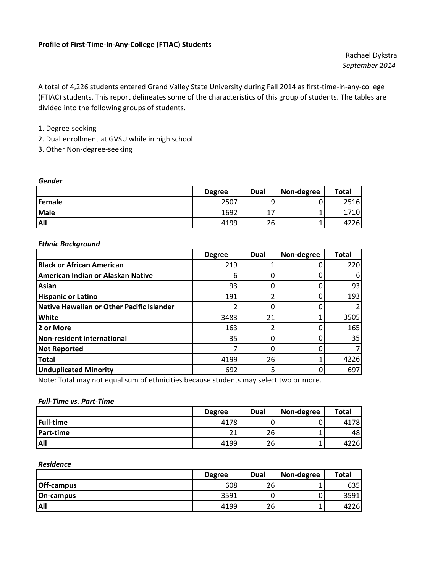Rachael Dykstra *September 2014*

A total of 4,226 students entered Grand Valley State University during Fall 2014 as first‐time‐in‐any‐college (FTIAC) students. This report delineates some of the characteristics of this group of students. The tables are divided into the following groups of students.

### 1. Degree‐seeking

- 2. Dual enrollment at GVSU while in high school
- 3. Other Non‐degree‐seeking

#### *Gender*

|             | <b>Degree</b> | <b>Dual</b> | Non-degree | Total |
|-------------|---------------|-------------|------------|-------|
| Female      | 2507          | a           |            | 2516  |
| <b>Male</b> | 1692          | 17<br>∸     |            | 1710  |
| <b>All</b>  | 4199          | 26          |            | 4226  |

#### *Ethnic Background*

|                                           | <b>Degree</b> | Dual | Non-degree | <b>Total</b> |
|-------------------------------------------|---------------|------|------------|--------------|
| <b>Black or African American</b>          | 219           |      |            | 220          |
| American Indian or Alaskan Native         |               |      |            | 6            |
| Asian                                     | 93            |      |            | 93           |
| <b>Hispanic or Latino</b>                 | 191           |      |            | 193          |
| Native Hawaiian or Other Pacific Islander |               | 0    |            |              |
| White                                     | 3483          | 21   |            | 3505         |
| 2 or More                                 | 163           | ำ    |            | 165          |
| Non-resident international                | 35            | U    |            | 35           |
| <b>Not Reported</b>                       |               |      |            |              |
| <b>Total</b>                              | 4199          | 26   |            | 4226         |
| <b>Unduplicated Minority</b>              | 692           | 5    |            | 697          |

Note: Total may not equal sum of ethnicities because students may select two or more.

### *Full‐Time vs. Part‐Time*

|                  | <b>Degree</b>     | <b>Dual</b> | Non-degree | Total |
|------------------|-------------------|-------------|------------|-------|
| <b>Full-time</b> | 4178              |             |            | 4178  |
| <b>Part-time</b> | $\mathbf{A}$<br>ᅩ | 26          |            | 48    |
| <b>All</b>       | 4199              | 26          |            | 4226  |

#### *Residence*

|                   | <b>Degree</b> | <b>Dual</b> | Non-degree | <b>Total</b> |
|-------------------|---------------|-------------|------------|--------------|
| <b>Off-campus</b> | 608           | 26          |            | 635          |
| <b>On-campus</b>  | 3591          |             |            | 3591         |
| <b>All</b>        | 4199          | 26          |            | 4226         |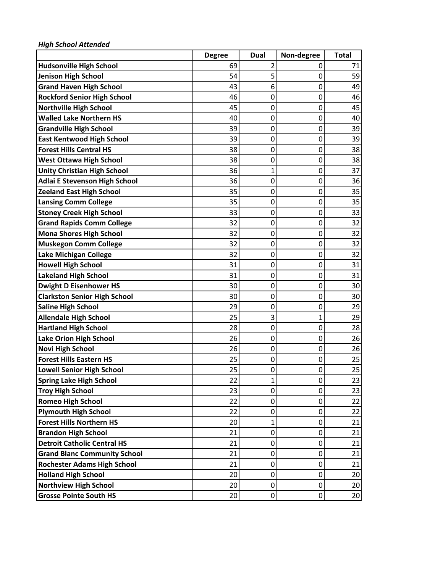|                                      | <b>Degree</b> | Dual             | Non-degree  | <b>Total</b> |
|--------------------------------------|---------------|------------------|-------------|--------------|
| <b>Hudsonville High School</b>       | 69            | 2                | 0           | 71           |
| Jenison High School                  | 54            | 5                | 0           | 59           |
| <b>Grand Haven High School</b>       | 43            | 6                | 0           | 49           |
| <b>Rockford Senior High School</b>   | 46            | $\mathbf 0$      | 0           | 46           |
| <b>Northville High School</b>        | 45            | 0                | 0           | 45           |
| <b>Walled Lake Northern HS</b>       | 40            | 0                | 0           | 40           |
| <b>Grandville High School</b>        | 39            | $\mathbf 0$      | 0           | 39           |
| <b>East Kentwood High School</b>     | 39            | 0                | 0           | 39           |
| <b>Forest Hills Central HS</b>       | 38            | $\mathbf 0$      | 0           | 38           |
| <b>West Ottawa High School</b>       | 38            | 0                | 0           | 38           |
| <b>Unity Christian High School</b>   | 36            | $\mathbf{1}$     | 0           | 37           |
| <b>Adlai E Stevenson High School</b> | 36            | 0                | 0           | 36           |
| <b>Zeeland East High School</b>      | 35            | $\mathbf 0$      | 0           | 35           |
| <b>Lansing Comm College</b>          | 35            | 0                | 0           | 35           |
| <b>Stoney Creek High School</b>      | 33            | $\mathbf 0$      | 0           | 33           |
| <b>Grand Rapids Comm College</b>     | 32            | $\mathbf 0$      | 0           | 32           |
| <b>Mona Shores High School</b>       | 32            | 0                | 0           | 32           |
| <b>Muskegon Comm College</b>         | 32            | 0                | 0           | 32           |
| Lake Michigan College                | 32            | 0                | 0           | 32           |
| <b>Howell High School</b>            | 31            | 0                | 0           | 31           |
| <b>Lakeland High School</b>          | 31            | $\mathbf 0$      | 0           | 31           |
| <b>Dwight D Eisenhower HS</b>        | 30            | $\mathbf 0$      | 0           | 30           |
| <b>Clarkston Senior High School</b>  | 30            | $\mathbf 0$      | 0           | 30           |
| <b>Saline High School</b>            | 29            | 0                | 0           | 29           |
| <b>Allendale High School</b>         | 25            | 3                | 1           | 29           |
| <b>Hartland High School</b>          | 28            | $\mathbf 0$      | 0           | 28           |
| <b>Lake Orion High School</b>        | 26            | $\mathbf 0$      | 0           | 26           |
| <b>Novi High School</b>              | 26            | $\mathbf 0$      | 0           | 26           |
| <b>Forest Hills Eastern HS</b>       | 25            | $\mathbf 0$      | 0           | 25           |
| <b>Lowell Senior High School</b>     | 25            | 0                | 0           | 25           |
| <b>Spring Lake High School</b>       | 22            | 1                | 0           | 23           |
| <b>Troy High School</b>              | 23            | $\mathbf 0$      | 0           | 23           |
| <b>Romeo High School</b>             | 22            | 0                | 0           | 22           |
| <b>Plymouth High School</b>          | 22            | $\mathbf 0$      | $\mathbf 0$ | 22           |
| <b>Forest Hills Northern HS</b>      | 20            | $\mathbf{1}$     | 0           | 21           |
| <b>Brandon High School</b>           | 21            | 0                | 0           | 21           |
| <b>Detroit Catholic Central HS</b>   | 21            | $\boldsymbol{0}$ | 0           | 21           |
| <b>Grand Blanc Community School</b>  | 21            | 0                | 0           | 21           |
| <b>Rochester Adams High School</b>   | 21            | 0                | 0           | 21           |
| <b>Holland High School</b>           | 20            | $\mathbf 0$      | 0           | 20           |
| <b>Northview High School</b>         | 20            | $\mathbf 0$      | 0           | 20           |
| <b>Grosse Pointe South HS</b>        | 20            | $\mathbf 0$      | 0           | 20           |

*High School Attended*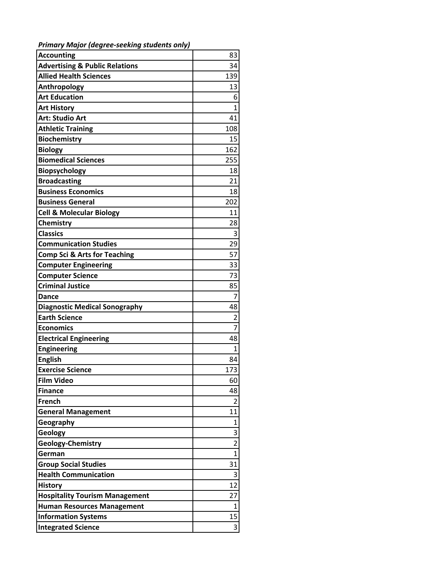*Primary Major (degree‐seeking students only)*

| <b>Accounting</b>                         | 83                      |
|-------------------------------------------|-------------------------|
| <b>Advertising &amp; Public Relations</b> | 34                      |
| <b>Allied Health Sciences</b>             | 139                     |
| Anthropology                              | 13                      |
| <b>Art Education</b>                      | 6                       |
| <b>Art History</b>                        | 1                       |
| Art: Studio Art                           | 41                      |
| <b>Athletic Training</b>                  | 108                     |
| <b>Biochemistry</b>                       | 15                      |
| <b>Biology</b>                            | 162                     |
| <b>Biomedical Sciences</b>                | 255                     |
| Biopsychology                             | 18                      |
| <b>Broadcasting</b>                       | 21                      |
| <b>Business Economics</b>                 | 18                      |
| <b>Business General</b>                   | 202                     |
| <b>Cell &amp; Molecular Biology</b>       | 11                      |
| Chemistry                                 | 28                      |
| <b>Classics</b>                           | 3                       |
| <b>Communication Studies</b>              | 29                      |
| <b>Comp Sci &amp; Arts for Teaching</b>   | 57                      |
| <b>Computer Engineering</b>               | 33                      |
| <b>Computer Science</b>                   | 73                      |
| <b>Criminal Justice</b>                   | 85                      |
| <b>Dance</b>                              | 7                       |
| <b>Diagnostic Medical Sonography</b>      | 48                      |
| <b>Earth Science</b>                      | $\overline{2}$          |
| <b>Economics</b>                          | $\overline{7}$          |
| <b>Electrical Engineering</b>             | 48                      |
| <b>Engineering</b>                        | 1                       |
| <b>English</b>                            | 84                      |
| <b>Exercise Science</b>                   | 173                     |
| <b>Film Video</b>                         | 60                      |
| <b>Finance</b>                            | 48                      |
| French                                    | 2                       |
| <b>General Management</b>                 | 11                      |
| Geography                                 | 1                       |
| Geology                                   | 3                       |
| <b>Geology-Chemistry</b>                  | $\overline{\mathbf{c}}$ |
| German                                    | $\mathbf 1$             |
| <b>Group Social Studies</b>               | 31                      |
| <b>Health Communication</b>               | 3                       |
| <b>History</b>                            | 12                      |
| <b>Hospitality Tourism Management</b>     | 27                      |
| <b>Human Resources Management</b>         | 1                       |
| <b>Information Systems</b>                | 15                      |
| <b>Integrated Science</b>                 | 3                       |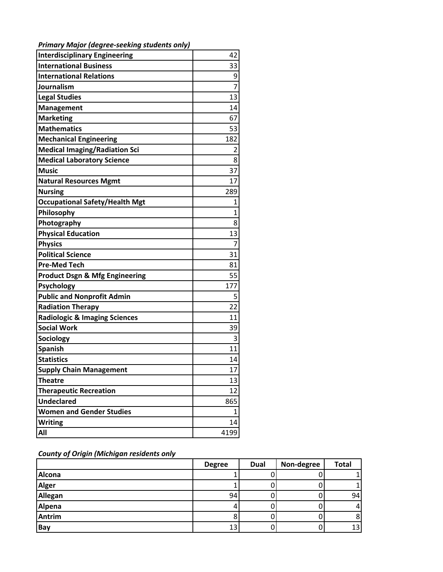| <b>Interdisciplinary Engineering</b>      | 42   |
|-------------------------------------------|------|
| <b>International Business</b>             | 33   |
| <b>International Relations</b>            | 9    |
| Journalism                                | 7    |
| <b>Legal Studies</b>                      | 13   |
| <b>Management</b>                         | 14   |
| <b>Marketing</b>                          | 67   |
| <b>Mathematics</b>                        | 53   |
| <b>Mechanical Engineering</b>             | 182  |
| <b>Medical Imaging/Radiation Sci</b>      | 2    |
| <b>Medical Laboratory Science</b>         | 8    |
| <b>Music</b>                              | 37   |
| <b>Natural Resources Mgmt</b>             | 17   |
| <b>Nursing</b>                            | 289  |
| <b>Occupational Safety/Health Mgt</b>     | 1    |
| Philosophy                                | 1    |
| Photography                               | 8    |
| <b>Physical Education</b>                 | 13   |
| <b>Physics</b>                            | 7    |
| <b>Political Science</b>                  | 31   |
| <b>Pre-Med Tech</b>                       | 81   |
| <b>Product Dsgn &amp; Mfg Engineering</b> | 55   |
| <b>Psychology</b>                         | 177  |
| <b>Public and Nonprofit Admin</b>         | 5    |
| <b>Radiation Therapy</b>                  | 22   |
| <b>Radiologic &amp; Imaging Sciences</b>  | 11   |
| <b>Social Work</b>                        | 39   |
| <b>Sociology</b>                          | 3    |
| <b>Spanish</b>                            | 11   |
| <b>Statistics</b>                         | 14   |
| <b>Supply Chain Management</b>            | 17   |
| <b>Theatre</b>                            | 13   |
| <b>Therapeutic Recreation</b>             | 12   |
| <b>Undeclared</b>                         | 865  |
| <b>Women and Gender Studies</b>           | 1    |
| <b>Writing</b>                            | 14   |
| All                                       | 4199 |

*Primary Major (degree‐seeking students only)*

*County of Origin (Michigan residents only*

|               | <b>Degree</b> | <b>Dual</b> | Non-degree | <b>Total</b>    |
|---------------|---------------|-------------|------------|-----------------|
| <b>Alcona</b> |               |             |            |                 |
| <b>Alger</b>  |               |             |            |                 |
| Allegan       | 94            |             |            | 94              |
| Alpena        |               |             |            | 4               |
| <b>Antrim</b> |               |             |            |                 |
| Bay           | 13            |             |            | 13 <sub>1</sub> |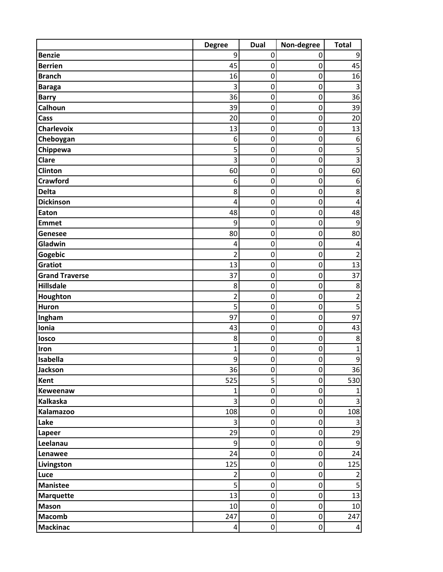|                       | <b>Degree</b>    | <b>Dual</b>      | Non-degree  | <b>Total</b>            |
|-----------------------|------------------|------------------|-------------|-------------------------|
| <b>Benzie</b>         | 9                | $\mathbf 0$      | 0           | 9                       |
| <b>Berrien</b>        | 45               | $\boldsymbol{0}$ | 0           | 45                      |
| <b>Branch</b>         | 16               | $\mathbf 0$      | 0           | 16                      |
| <b>Baraga</b>         | 3                | $\mathbf 0$      | 0           | $\overline{3}$          |
| <b>Barry</b>          | 36               | $\mathbf 0$      | 0           | 36                      |
| Calhoun               | 39               | $\mathbf 0$      | 0           | 39                      |
| Cass                  | 20               | 0                | 0           | 20                      |
| <b>Charlevoix</b>     | 13               | $\mathbf 0$      | 0           | 13                      |
| Cheboygan             | 6                | $\boldsymbol{0}$ | 0           | 6                       |
| Chippewa              | 5                | $\mathbf 0$      | 0           | 5                       |
| Clare                 | 3                | 0                | 0           | $\overline{3}$          |
| Clinton               | 60               | $\mathbf 0$      | 0           | 60                      |
| <b>Crawford</b>       | 6                | $\mathbf 0$      | 0           | $\boldsymbol{6}$        |
| <b>Delta</b>          | 8                | 0                | 0           | 8                       |
| <b>Dickinson</b>      | 4                | $\mathbf 0$      | 0           | 4                       |
| Eaton                 | 48               | $\mathbf 0$      | 0           | 48                      |
| <b>Emmet</b>          | 9                | $\mathbf 0$      | 0           | 9                       |
| Genesee               | 80               | $\mathbf 0$      | 0           | 80                      |
| Gladwin               | $\overline{4}$   | 0                | 0           | 4                       |
| Gogebic               | $\overline{2}$   | 0                | 0           | $\overline{2}$          |
| Gratiot               | 13               | $\boldsymbol{0}$ | 0           | 13                      |
| <b>Grand Traverse</b> | 37               | $\mathbf 0$      | 0           | 37                      |
| <b>Hillsdale</b>      | 8                | $\mathbf 0$      | 0           | $\bf 8$                 |
| Houghton              | $\overline{2}$   | $\mathbf 0$      | 0           | $\overline{2}$          |
| <b>Huron</b>          | 5                | $\mathbf 0$      | 0           | 5                       |
| Ingham                | 97               | $\mathbf 0$      | 0           | 97                      |
| Ionia                 | 43               | $\mathbf 0$      | 0           | 43                      |
| losco                 | 8                | $\boldsymbol{0}$ | 0           | 8                       |
| Iron                  | $\mathbf{1}$     | $\boldsymbol{0}$ | 0           | $\mathbf 1$             |
| Isabella              | 9                | $\boldsymbol{0}$ | 0           | 9                       |
| Jackson               | 36               | $\boldsymbol{0}$ | 0           | 36                      |
| <b>Kent</b>           | 525              | 5                | 0           | 530                     |
| Keweenaw              | 1                | $\pmb{0}$        | 0           | $\mathbf{1}$            |
| <b>Kalkaska</b>       | 3                | $\pmb{0}$        | 0           | $\overline{\mathbf{3}}$ |
| Kalamazoo             | 108              | $\pmb{0}$        | $\mathbf 0$ | 108                     |
| Lake                  | 3                | $\mathbf 0$      | 0           | $\mathbf{3}$            |
| Lapeer                | 29               | $\mathbf 0$      | 0           | 29                      |
| Leelanau              | $\boldsymbol{9}$ | $\mathbf 0$      | 0           | 9                       |
| Lenawee               | 24               | $\mathbf 0$      | 0           | 24                      |
| Livingston            | 125              | $\pmb{0}$        | $\mathbf 0$ | 125                     |
| Luce                  | $\overline{2}$   | $\boldsymbol{0}$ | $\mathbf 0$ | $\overline{2}$          |
| <b>Manistee</b>       | 5                | $\mathbf 0$      | 0           | 5                       |
| <b>Marquette</b>      | 13               | $\boldsymbol{0}$ | 0           | 13                      |
| <b>Mason</b>          | 10               | $\mathbf 0$      | 0           | 10                      |
| <b>Macomb</b>         | 247              | $\pmb{0}$        | $\mathbf 0$ | 247                     |
| <b>Mackinac</b>       | $\pmb{4}$        | $\boldsymbol{0}$ | $\mathbf 0$ | $\vert$                 |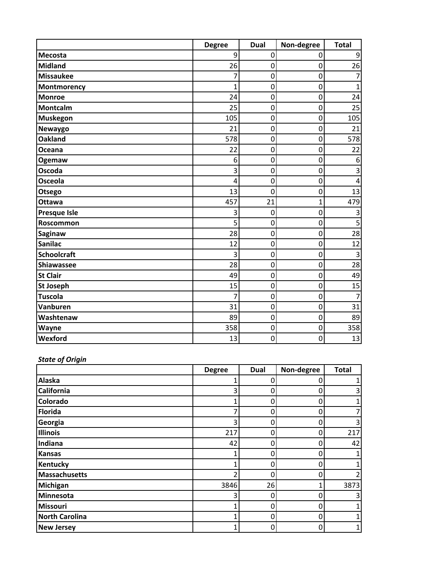|                     | <b>Degree</b> | <b>Dual</b> | Non-degree     | <b>Total</b>   |
|---------------------|---------------|-------------|----------------|----------------|
| <b>Mecosta</b>      | 9             | 0           | 0              | 9              |
| <b>Midland</b>      | 26            | 0           | 0              | 26             |
| <b>Missaukee</b>    | 7             | $\mathbf 0$ | 0              |                |
| Montmorency         | $\mathbf{1}$  | 0           | 0              | $\mathbf{1}$   |
| <b>Monroe</b>       | 24            | 0           | 0              | 24             |
| <b>Montcalm</b>     | 25            | 0           | 0              | 25             |
| <b>Muskegon</b>     | 105           | 0           | 0              | 105            |
| Newaygo             | 21            | $\mathbf 0$ | 0              | 21             |
| <b>Oakland</b>      | 578           | 0           | 0              | 578            |
| Oceana              | 22            | 0           | 0              | 22             |
| Ogemaw              | 6             | 0           | 0              | 6              |
| Oscoda              | 3             | 0           | 0              | 3              |
| <b>Osceola</b>      | 4             | $\mathbf 0$ | 0              | 4              |
| Otsego              | 13            | $\mathbf 0$ | 0              | 13             |
| Ottawa              | 457           | 21          | $\overline{1}$ | 479            |
| <b>Presque Isle</b> | 3             | 0           | 0              | 3              |
| Roscommon           | 5             | 0           | 0              | 5              |
| Saginaw             | 28            | 0           | 0              | 28             |
| <b>Sanilac</b>      | 12            | 0           | 0              | 12             |
| <b>Schoolcraft</b>  | 3             | $\mathbf 0$ | 0              | $\overline{3}$ |
| Shiawassee          | 28            | $\mathbf 0$ | $\overline{0}$ | 28             |
| <b>St Clair</b>     | 49            | 0           | 0              | 49             |
| <b>St Joseph</b>    | 15            | 0           | 0              | 15             |
| <b>Tuscola</b>      | 7             | 0           | 0              |                |
| Vanburen            | 31            | $\mathbf 0$ | 0              | 31             |
| Washtenaw           | 89            | 0           | 0              | 89             |
| Wayne               | 358           | $\mathbf 0$ | 0              | 358            |
| Wexford             | 13            | 0           | 0              | 13             |

# *State of Origin*

|                       | <b>Degree</b> | Dual | Non-degree | <b>Total</b> |
|-----------------------|---------------|------|------------|--------------|
| Alaska                |               | 0    |            |              |
| <b>California</b>     | 3             | 0    |            |              |
| <b>Colorado</b>       |               | 0    | 0          |              |
| <b>Florida</b>        |               | 0    |            |              |
| Georgia               | 3             | 0    | O          |              |
| <b>Illinois</b>       | 217           | 0    | 0          | 217          |
| Indiana               | 42            | 0    |            | 42           |
| <b>Kansas</b>         |               | 0    | O          |              |
| <b>Kentucky</b>       |               | 0    | 0          |              |
| <b>Massachusetts</b>  | า             | 0    | ი          |              |
| Michigan              | 3846          | 26   |            | 3873         |
| Minnesota             | 3             | 0    | 0          |              |
| Missouri              |               | 0    | ი          |              |
| <b>North Carolina</b> |               | 0    | 0          |              |
| <b>New Jersey</b>     |               | 0    | 0          |              |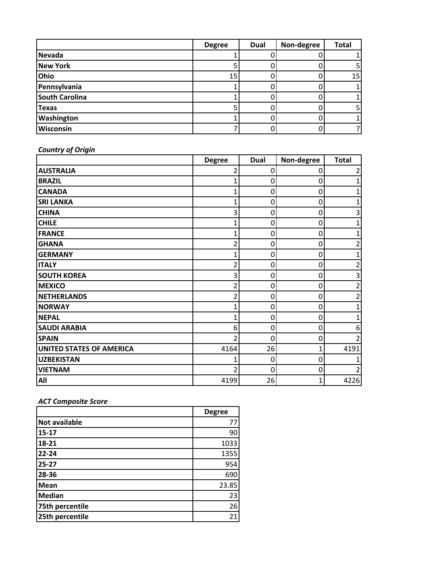|                       | <b>Degree</b> | <b>Dual</b> | Non-degree | <b>Total</b> |
|-----------------------|---------------|-------------|------------|--------------|
| <b>Nevada</b>         |               |             |            |              |
| <b>New York</b>       |               |             |            |              |
| Ohio                  | 15            |             |            | 15           |
| Pennsylvania          |               |             |            |              |
| <b>South Carolina</b> |               |             |            |              |
| <b>Texas</b>          |               |             |            |              |
| Washington            |               |             |            |              |
| Wisconsin             |               |             |            |              |

*Country of Origin*

|                                 | <b>Degree</b> | Dual        | Non-degree | <b>Total</b> |
|---------------------------------|---------------|-------------|------------|--------------|
| <b>AUSTRALIA</b>                |               | $\mathbf 0$ | 0          |              |
| <b>BRAZIL</b>                   |               | 0           | 0          |              |
| <b>CANADA</b>                   |               | $\mathbf 0$ | 0          |              |
| <b>SRI LANKA</b>                | 1             | $\mathbf 0$ | 0          |              |
| <b>CHINA</b>                    | 3             | 0           | 0          | 3            |
| <b>CHILE</b>                    | 1             | $\mathbf 0$ | 0          |              |
| <b>FRANCE</b>                   |               | 0           | 0          |              |
| <b>GHANA</b>                    |               | $\mathbf 0$ | 0          |              |
| <b>GERMANY</b>                  |               | 0           | 0          |              |
| <b>ITALY</b>                    | 2             | 0           | 0          |              |
| <b>SOUTH KOREA</b>              | 3             | 0           | 0          | 3            |
| <b>MEXICO</b>                   | 7             | 0           | 0          |              |
| <b>NETHERLANDS</b>              | 2             | $\mathbf 0$ | 0          |              |
| <b>NORWAY</b>                   |               | 0           | 0          |              |
| <b>NEPAL</b>                    | 1             | 0           | 0          |              |
| <b>SAUDI ARABIA</b>             | 6             | $\mathbf 0$ | 0          | 6            |
| <b>SPAIN</b>                    | 2             | 0           | 0          |              |
| <b>UNITED STATES OF AMERICA</b> | 4164          | 26          |            | 4191         |
| <b>UZBEKISTAN</b>               |               | 0           | 0          |              |
| <b>VIETNAM</b>                  |               | 0           | 0          |              |
| All                             | 4199          | 26          | 1          | 4226         |

# *ACT Composite Score*

|                 | <b>Degree</b> |
|-----------------|---------------|
| Not available   | 77            |
| $15 - 17$       | 90            |
| 18-21           | 1033          |
| $22 - 24$       | 1355          |
| $25 - 27$       | 954           |
| 28-36           | 690           |
| Mean            | 23.85         |
| <b>Median</b>   | 23            |
| 75th percentile | 26            |
| 25th percentile | 21            |